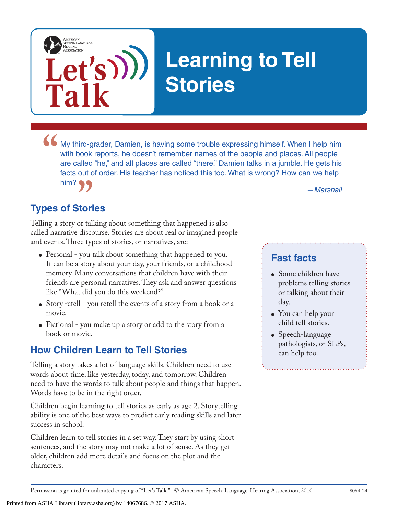

• My third-grader, Damien, is having some trouble expressing himself. When I help him with book reports, he doesn't remember names of the people and places. All people are called "he," and all places are called "there." Da with book reports, he doesn't remember names of the people and places. All people are called "he," and all places are called "there." Damien talks in a jumble. He gets his facts out of order. His teacher has noticed this too. What is wrong? How can we help him?

## **Types of Stories**

**Let's**

**Talk**

AMERICAN<br>SPEECH-LANGUAGE-<br>HEARING<br>ASSOCIATION

*a**a**—Marshall***<br><b>Stories** or talking about something that happened is also Telling a story or talking about something that happened is also called narrative discourse. Stories are about real or imagined people and events. Three types of stories, or narratives, are:

- Personal you talk about something that happened to you. It can be a story about your day, your friends, or a childhood memory. Many conversations that children have with their friends are personal narratives. They ask and answer questions like "What did you do this weekend?"
- Story retell you retell the events of a story from a book or a movie.
- Fictional you make up a story or add to the story from a book or movie.

#### **How Children Learn to Tell Stories**

Telling a story takes a lot of language skills. Children need to use words about time, like yesterday, today, and tomorrow. Children need to have the words to talk about people and things that happen. Words have to be in the right order.

Children begin learning to tell stories as early as age 2. Storytelling ability is one of the best ways to predict early reading skills and later success in school.

Children learn to tell stories in a set way. They start by using short sentences, and the story may not make a lot of sense. As they get older, children add more details and focus on the plot and the characters.

#### **Fast facts**

- Some children have problems telling stories or talking about their day.
- You can help your child tell stories.
- Speech-language pathologists, or SLPs, can help too.

Printed from ASHA Library (library.asha.org) by 14067686. © 2017 ASHA.